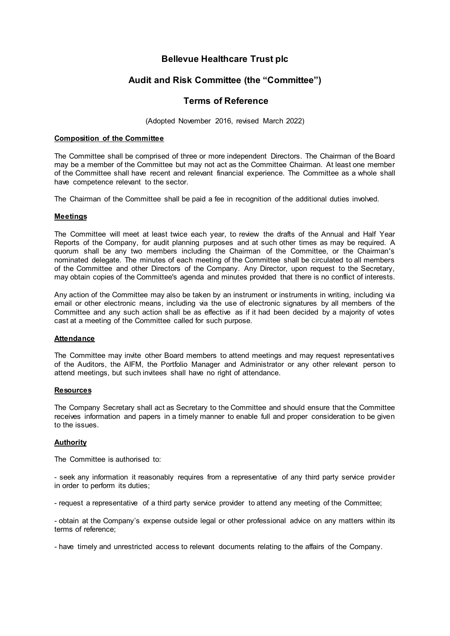# **Bellevue Healthcare Trust plc**

# **Audit and Risk Committee (the "Committee")**

# **Terms of Reference**

(Adopted November 2016, revised March 2022)

## **Composition of the Committee**

The Committee shall be comprised of three or more independent Directors. The Chairman of the Board may be a member of the Committee but may not act as the Committee Chairman. At least one member of the Committee shall have recent and relevant financial experience. The Committee as a whole shall have competence relevant to the sector.

The Chairman of the Committee shall be paid a fee in recognition of the additional duties involved.

## **Meetings**

The Committee will meet at least twice each year, to review the drafts of the Annual and Half Year Reports of the Company, for audit planning purposes and at such other times as may be required. A quorum shall be any two members including the Chairman of the Committee, or the Chairman's nominated delegate. The minutes of each meeting of the Committee shall be circulated to all members of the Committee and other Directors of the Company. Any Director, upon request to the Secretary, may obtain copies of the Committee's agenda and minutes provided that there is no conflict of interests.

Any action of the Committee may also be taken by an instrument or instruments in writing, including via email or other electronic means, including via the use of electronic signatures by all members of the Committee and any such action shall be as effective as if it had been decided by a majority of votes cast at a meeting of the Committee called for such purpose.

### **Attendance**

The Committee may invite other Board members to attend meetings and may request representatives of the Auditors, the AIFM, the Portfolio Manager and Administrator or any other relevant person to attend meetings, but such invitees shall have no right of attendance.

### **Resources**

The Company Secretary shall act as Secretary to the Committee and should ensure that the Committee receives information and papers in a timely manner to enable full and proper consideration to be given to the issues.

### **Authority**

The Committee is authorised to:

- seek any information it reasonably requires from a representative of any third party service provider in order to perform its duties;

- request a representative of a third party service provider to attend any meeting of the Committee;

- obtain at the Company's expense outside legal or other professional advice on any matters within its terms of reference;

- have timely and unrestricted access to relevant documents relating to the affairs of the Company.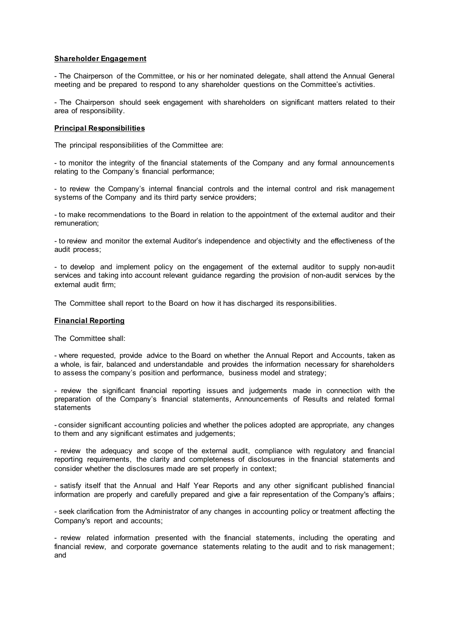### **Shareholder Engagement**

- The Chairperson of the Committee, or his or her nominated delegate, shall attend the Annual General meeting and be prepared to respond to any shareholder questions on the Committee's activities.

- The Chairperson should seek engagement with shareholders on significant matters related to their area of responsibility.

## **Principal Responsibilities**

The principal responsibilities of the Committee are:

- to monitor the integrity of the financial statements of the Company and any formal announcements relating to the Company's financial performance;

- to review the Company's internal financial controls and the internal control and risk management systems of the Company and its third party service providers;

- to make recommendations to the Board in relation to the appointment of the external auditor and their remuneration;

- to review and monitor the external Auditor's independence and objectivity and the effectiveness of the audit process;

- to develop and implement policy on the engagement of the external auditor to supply non-audit services and taking into account relevant guidance regarding the provision of non-audit services by the external audit firm;

The Committee shall report to the Board on how it has discharged its responsibilities.

#### **Financial Reporting**

The Committee shall:

- where requested, provide advice to the Board on whether the Annual Report and Accounts, taken as a whole, is fair, balanced and understandable and provides the information necessary for shareholders to assess the company's position and performance, business model and strategy;

- review the significant financial reporting issues and judgements made in connection with the preparation of the Company's financial statements, Announcements of Results and related formal statements

- consider significant accounting policies and whether the polices adopted are appropriate, any changes to them and any significant estimates and judgements;

- review the adequacy and scope of the external audit, compliance with regulatory and financial reporting requirements, the clarity and completeness of disclosures in the financial statements and consider whether the disclosures made are set properly in context;

- satisfy itself that the Annual and Half Year Reports and any other significant published financial information are properly and carefully prepared and give a fair representation of the Company's affairs;

- seek clarification from the Administrator of any changes in accounting policy or treatment affecting the Company's report and accounts;

- review related information presented with the financial statements, including the operating and financial review, and corporate governance statements relating to the audit and to risk management; and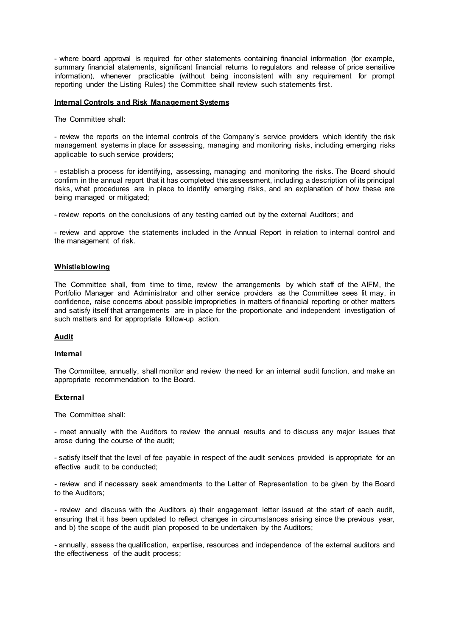- where board approval is required for other statements containing financial information (for example, summary financial statements, significant financial returns to regulators and release of price sensitive information), whenever practicable (without being inconsistent with any requirement for prompt reporting under the Listing Rules) the Committee shall review such statements first.

#### **Internal Controls and Risk Management Systems**

The Committee shall:

- review the reports on the internal controls of the Company's service providers which identify the risk management systems in place for assessing, managing and monitoring risks, including emerging risks applicable to such service providers;

- establish a process for identifying, assessing, managing and monitoring the risks. The Board should confirm in the annual report that it has completed this assessment, including a description of its principal risks, what procedures are in place to identify emerging risks, and an explanation of how these are being managed or mitigated;

- review reports on the conclusions of any testing carried out by the external Auditors; and

- review and approve the statements included in the Annual Report in relation to internal control and the management of risk.

### **Whistleblowing**

The Committee shall, from time to time, review the arrangements by which staff of the AIFM, the Portfolio Manager and Administrator and other service providers as the Committee sees fit may, in confidence, raise concerns about possible improprieties in matters of financial reporting or other matters and satisfy itself that arrangements are in place for the proportionate and independent investigation of such matters and for appropriate follow-up action.

### **Audit**

#### **Internal**

The Committee, annually, shall monitor and review the need for an internal audit function, and make an appropriate recommendation to the Board.

#### **External**

The Committee shall:

- meet annually with the Auditors to review the annual results and to discuss any major issues that arose during the course of the audit;

- satisfy itself that the level of fee payable in respect of the audit services provided is appropriate for an effective audit to be conducted;

- review and if necessary seek amendments to the Letter of Representation to be given by the Board to the Auditors;

- review and discuss with the Auditors a) their engagement letter issued at the start of each audit, ensuring that it has been updated to reflect changes in circumstances arising since the previous year, and b) the scope of the audit plan proposed to be undertaken by the Auditors;

- annually, assess the qualification, expertise, resources and independence of the external auditors and the effectiveness of the audit process;